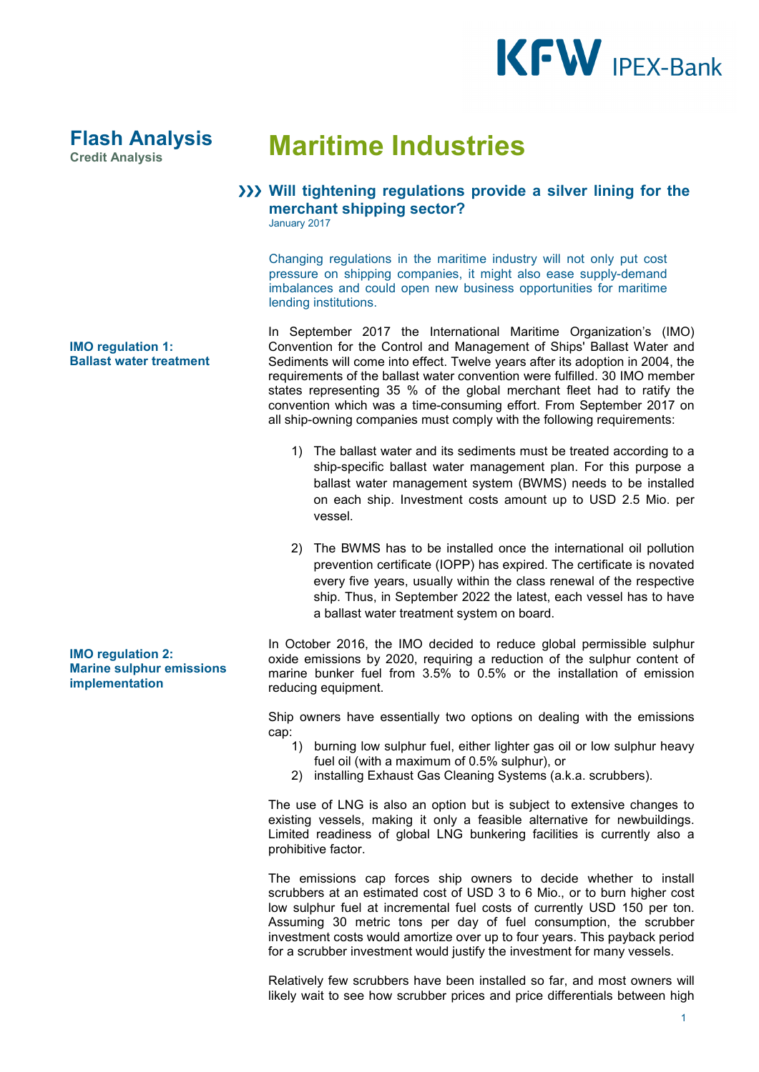

## **Credit Analysis Maritime Industries**

## **Will tightening regulations provide a silver lining for the merchant shipping sector?**

January 2017

Changing regulations in the maritime industry will not only put cost pressure on shipping companies, it might also ease supply-demand imbalances and could open new business opportunities for maritime lending institutions.

In September 2017 the International Maritime Organization's (IMO) Convention for the Control and Management of Ships' Ballast Water and Sediments will come into effect. Twelve years after its adoption in 2004, the requirements of the ballast water convention were fulfilled. 30 IMO member states representing 35 % of the global merchant fleet had to ratify the convention which was a time-consuming effort. From September 2017 on all ship-owning companies must comply with the following requirements:

- 1) The ballast water and its sediments must be treated according to a ship-specific ballast water management plan. For this purpose a ballast water management system (BWMS) needs to be installed on each ship. Investment costs amount up to USD 2.5 Mio. per vessel.
- 2) The BWMS has to be installed once the international oil pollution prevention certificate (IOPP) has expired. The certificate is novated every five years, usually within the class renewal of the respective ship. Thus, in September 2022 the latest, each vessel has to have a ballast water treatment system on board.

In October 2016, the IMO decided to reduce global permissible sulphur oxide emissions by 2020, requiring a reduction of the sulphur content of marine bunker fuel from 3.5% to 0.5% or the installation of emission reducing equipment.

Ship owners have essentially two options on dealing with the emissions cap:

- 1) burning low sulphur fuel, either lighter gas oil or low sulphur heavy fuel oil (with a maximum of 0.5% sulphur), or
- 2) installing Exhaust Gas Cleaning Systems (a.k.a. scrubbers).

The use of LNG is also an option but is subject to extensive changes to existing vessels, making it only a feasible alternative for newbuildings. Limited readiness of global LNG bunkering facilities is currently also a prohibitive factor.

The emissions cap forces ship owners to decide whether to install scrubbers at an estimated cost of USD 3 to 6 Mio., or to burn higher cost low sulphur fuel at incremental fuel costs of currently USD 150 per ton. Assuming 30 metric tons per day of fuel consumption, the scrubber investment costs would amortize over up to four years. This payback period for a scrubber investment would justify the investment for many vessels.

Relatively few scrubbers have been installed so far, and most owners will likely wait to see how scrubber prices and price differentials between high

**IMO regulation 1: Ballast water treatment**

**Flash Analysis**

**IMO regulation 2: Marine sulphur emissions implementation**